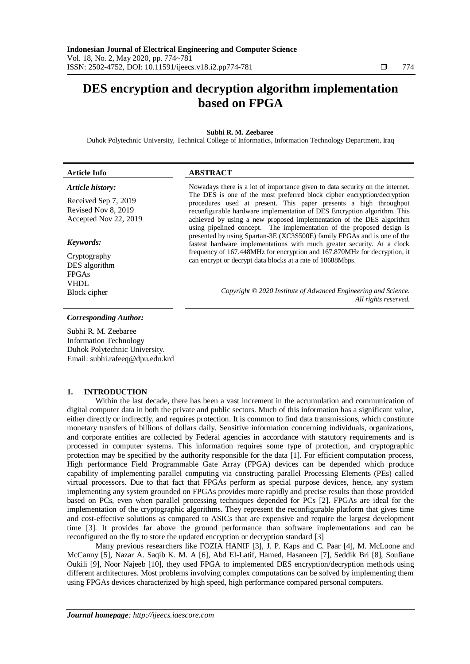# **DES encryption and decryption algorithm implementation based on FPGA**

## **Subhi R. M. Zeebaree**

Duhok Polytechnic University, Technical College of Informatics, Information Technology Department, Iraq

| <b>Article Info</b>                                                  | <b>ABSTRACT</b>                                                                                                                                                                                                                                                                                                                                                           |
|----------------------------------------------------------------------|---------------------------------------------------------------------------------------------------------------------------------------------------------------------------------------------------------------------------------------------------------------------------------------------------------------------------------------------------------------------------|
| Article history:                                                     | Nowadays there is a lot of importance given to data security on the internet.                                                                                                                                                                                                                                                                                             |
| Received Sep 7, 2019<br>Revised Nov 8, 2019<br>Accepted Nov 22, 2019 | The DES is one of the most preferred block cipher encryption/decryption<br>procedures used at present. This paper presents a high throughput<br>reconfigurable hardware implementation of DES Encryption algorithm. This<br>achieved by using a new proposed implementation of the DES algorithm<br>using pipelined concept. The implementation of the proposed design is |
| Keywords:                                                            | presented by using Spartan-3E (XC3S500E) family FPGAs and is one of the<br>fastest hardware implementations with much greater security. At a clock                                                                                                                                                                                                                        |
| Cryptography<br>DES algorithm                                        | frequency of 167.448MHz for encryption and 167.870MHz for decryption, it<br>can encrypt or decrypt data blocks at a rate of 10688Mbps.                                                                                                                                                                                                                                    |
| <b>FPGAs</b>                                                         |                                                                                                                                                                                                                                                                                                                                                                           |
| <b>VHDL</b>                                                          |                                                                                                                                                                                                                                                                                                                                                                           |
| Block cipher                                                         | Copyright © 2020 Institute of Advanced Engineering and Science.<br>All rights reserved.                                                                                                                                                                                                                                                                                   |
|                                                                      |                                                                                                                                                                                                                                                                                                                                                                           |

# *Corresponding Author:*

Subhi R. M. Zeebaree Information Technology Duhok Polytechnic University. Email: subhi.rafeeq@dpu.edu.krd

## **1. INTRODUCTION**

Within the last decade, there has been a vast increment in the accumulation and communication of digital computer data in both the private and public sectors. Much of this information has a significant value, either directly or indirectly, and requires protection. It is common to find data transmissions, which constitute monetary transfers of billions of dollars daily. Sensitive information concerning individuals, organizations, and corporate entities are collected by Federal agencies in accordance with statutory requirements and is processed in computer systems. This information requires some type of protection, and cryptographic protection may be specified by the authority responsible for the data [1]. For efficient computation process, High performance Field Programmable Gate Array (FPGA) devices can be depended which produce capability of implementing parallel computing via constructing parallel Processing Elements (PEs) called virtual processors. Due to that fact that FPGAs perform as special purpose devices, hence, any system implementing any system grounded on FPGAs provides more rapidly and precise results than those provided based on PCs, even when parallel processing techniques depended for PCs [2]. FPGAs are ideal for the implementation of the cryptographic algorithms. They represent the reconfigurable platform that gives time and cost-effective solutions as compared to ASICs that are expensive and require the largest development time [3]. It provides far above the ground performance than software implementations and can be reconfigured on the fly to store the updated encryption or decryption standard [3]

Many previous researchers like FOZIA HANIF [3], J. P. Kaps and C. Paar [4], M. McLoone and McCanny [5], Nazar A. Saqib K. M. A [6], Abd El-Latif, Hamed, Hasaneen [7], Seddik Bri [8], Soufiane Oukili [9], Noor Najeeb [10], they used FPGA to implemented DES encryption/decryption methods using different architectures. Most problems involving complex computations can be solved by implementing them using FPGAs devices characterized by high speed, high performance compared personal computers.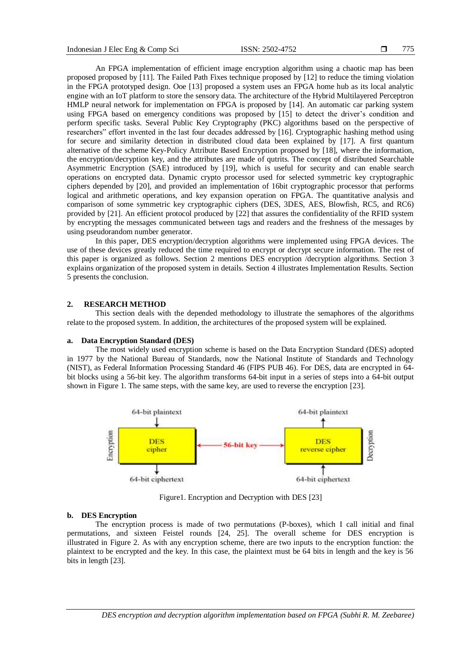An FPGA implementation of efficient image encryption algorithm using a chaotic map has been proposed proposed by [11]. The Failed Path Fixes technique proposed by [12] to reduce the timing violation in the FPGA prototyped design. Ooe [13] proposed a system uses an FPGA home hub as its local analytic engine with an IoT platform to store the sensory data. The architecture of the Hybrid Multilayered Perceptron HMLP neural network for implementation on FPGA is proposed by [14]. An automatic car parking system using FPGA based on emergency conditions was proposed by [15] to detect the driver's condition and perform specific tasks. Several Public Key Cryptography (PKC) algorithms based on the perspective of researchers" effort invented in the last four decades addressed by [16]. Cryptographic hashing method using for secure and similarity detection in distributed cloud data been explained by [17]. A first quantum alternative of the scheme Key-Policy Attribute Based Encryption proposed by [18], where the information, the encryption/decryption key, and the attributes are made of qutrits. The concept of distributed Searchable Asymmetric Encryption (SAE) introduced by [19], which is useful for security and can enable search operations on encrypted data. Dynamic crypto processor used for selected symmetric key cryptographic ciphers depended by [20], and provided an implementation of 16bit cryptographic processor that performs logical and arithmetic operations, and key expansion operation on FPGA. The quantitative analysis and comparison of some symmetric key cryptographic ciphers (DES, 3DES, AES, Blowfish, RC5, and RC6) provided by [21]. An efficient protocol produced by [22] that assures the confidentiality of the RFID system by encrypting the messages communicated between tags and readers and the freshness of the messages by using pseudorandom number generator.

In this paper, DES encryption/decryption algorithms were implemented using FPGA devices. The use of these devices greatly reduced the time required to encrypt or decrypt secure information. The rest of this paper is organized as follows. Section 2 mentions DES encryption /decryption algorithms. Section 3 explains organization of the proposed system in details. Section 4 illustrates Implementation Results. Section 5 presents the conclusion.

# **2. RESEARCH METHOD**

This section deals with the depended methodology to illustrate the semaphores of the algorithms relate to the proposed system. In addition, the architectures of the proposed system will be explained.

#### **a. Data Encryption Standard (DES)**

The most widely used encryption scheme is based on the Data Encryption Standard (DES) adopted in 1977 by the National Bureau of Standards, now the National Institute of Standards and Technology (NIST), as Federal Information Processing Standard 46 (FIPS PUB 46). For DES, data are encrypted in 64 bit blocks using a 56-bit key. The algorithm transforms 64-bit input in a series of steps into a 64-bit output shown in Figure 1. The same steps, with the same key, are used to reverse the encryption [23].



Figure1. Encryption and Decryption with DES [23]

### **b. DES Encryption**

The encryption process is made of two permutations (P-boxes), which I call initial and final permutations, and sixteen Feistel rounds [24, 25]. The overall scheme for DES encryption is illustrated in Figure 2. As with any encryption scheme, there are two inputs to the encryption function: the plaintext to be encrypted and the key. In this case, the plaintext must be 64 bits in length and the key is 56 bits in length [23].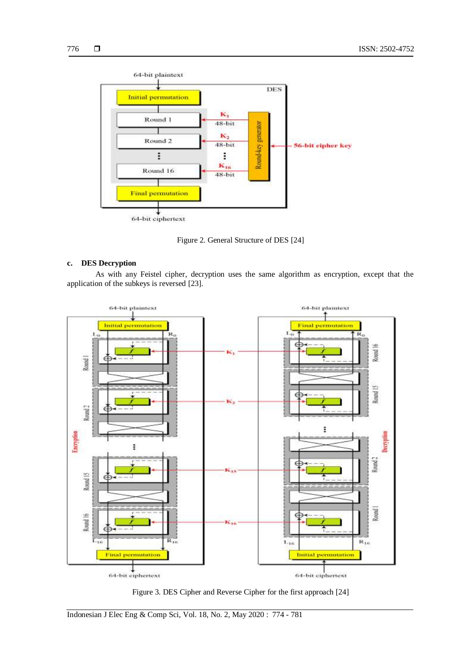

Figure 2. General Structure of DES [24]

# **c. DES Decryption**

As with any Feistel cipher, decryption uses the same algorithm as encryption, except that the application of the subkeys is reversed [23].



Figure 3. DES Cipher and Reverse Cipher for the first approach [24]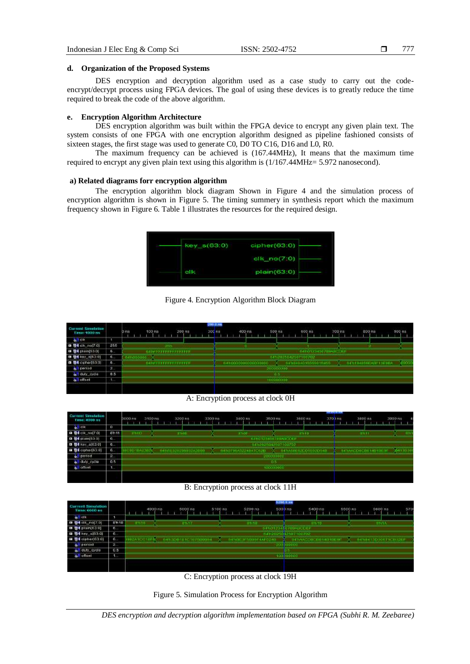## **d. Organization of the Proposed Systems**

DES encryption and decryption algorithm used as a case study to carry out the codeencrypt/decrypt process using FPGA devices. The goal of using these devices is to greatly reduce the time required to break the code of the above algorithm.

# **e. Encryption Algorithm Architecture**

DES encryption algorithm was built within the FPGA device to encrypt any given plain text. The system consists of one FPGA with one encryption algorithm designed as pipeline fashioned consists of sixteen stages, the first stage was used to generate C0, D0 TO C16, D16 and L0, R0.

The maximum frequency can be achieved is (167.44MHz), It means that the maximum time required to encrypt any given plain text using this algorithm is (1/167.44MHz= 5.972 nanosecond).

# **a) Related diagrams forr encryption algorithm**

The encryption algorithm block diagram Shown in Figure 4 and the simulation process of encryption algorithm is shown in Figure 5. The timing summery in synthesis report which the maximum frequency shown in Figure 6. Table 1 illustrates the resources for the required design.

| key_s(63.0) | cipher(630)                   |
|-------------|-------------------------------|
|             | $c$ <sup>1</sup> k_no $(7:0)$ |
| <b>cik</b>  | plain(63.0)                   |

Figure 4. Encryption Algorithm Block Diagram

| <b>Current Simulation</b><br>Time: 1000 nn |                          | 209.0 ns<br>$300$ ns<br>$200$ ns<br>100 rts<br>$Dn\pi$ | $500 \text{ na}$<br>400 ns. | 600 ms<br>$700$ ns  | 800 ns<br>900 ns     |
|--------------------------------------------|--------------------------|--------------------------------------------------------|-----------------------------|---------------------|----------------------|
| <b>ALLIE CITY</b>                          |                          |                                                        |                             |                     |                      |
| <b>B @4</b> Etk., no(7.0)                  | ---<br>255               |                                                        |                             |                     |                      |
| <b>日 导气</b> 时间内(63.0)                      | T.                       | *******************                                    |                             | 6410123456799ABCDEF |                      |
| <b>El Steven(63:0)</b>                     | ъ.                       | 4310                                                   |                             | 4412020042502100702 |                      |
| <b>0 84 cronor[63.0]</b>                   | $\mathbf{6}$             | 5470 0 0 0 0 0 0 0 0 0 0 0 0 0 0 0 0                   | 54710000000000000000        | 0470404015555915455 | OUTLIGHTERED TOETHER |
| o period                                   | 12                       |                                                        | 200000000                   |                     |                      |
| of duty_cycle                              | <b>STATISTICS</b><br>0.5 |                                                        | 0.6                         |                     |                      |
| off offset                                 |                          |                                                        | 100000000                   |                     |                      |
|                                            |                          |                                                        |                             |                     |                      |

A: Encryption process at clock 0H

| <b>Current Simulation</b><br>Time: 4000 ns |                        | 2000 hs  | 3100 ns<br>3200 ns  | an 00EE | 3400 ns             | $3500$ risk | 3600 ns                    | ,,,,,,,,,,,<br>3703 ns<br>3800 ns | 3900 ns     |
|--------------------------------------------|------------------------|----------|---------------------|---------|---------------------|-------------|----------------------------|-----------------------------------|-------------|
| <b>GIT CIR</b>                             | $\circ$                |          |                     |         |                     |             |                            |                                   |             |
| □ 卷4 CFC no(7.0)                           | 8711                   | nnoo     | 3316                |         | <b>BTIOF</b>        |             | 89110                      | 281111                            | $-0.11$     |
| <b>¤ @4ptain(63.0)</b>                     | e                      |          |                     |         |                     |             | <b>BAROTES45678BARCOUP</b> |                                   |             |
| <b>B SHEW 103.01</b>                       | <b>B</b>               |          |                     |         |                     |             | 6432025042507100702        |                                   |             |
| <b>¤ @4</b> cipher(63.0)                   | ø                      | C0D18A23 | 64706320296932A2699 |         | 6430798A5224847C62B | x           | 6494586920016520548        | BATIAACORCRITIOIRERE              | $-0.413030$ |
| di period                                  | <b>STATISTICS</b><br>в |          |                     |         |                     | 200000000   |                            |                                   |             |
| o duty_cycle                               | 0.5                    |          |                     |         |                     | 0.51        |                            |                                   |             |
| offset                                     | т.                     |          |                     |         |                     | 100000000   |                            |                                   |             |
|                                            |                        |          |                     |         |                     |             |                            |                                   |             |

B: Encryption process at clock 11H

|                                          |      |               |          |  |         |                     |         |  |         |                         |                |         | 9200 S.N.      |  |         |                             |  |         |  |                     |     |
|------------------------------------------|------|---------------|----------|--|---------|---------------------|---------|--|---------|-------------------------|----------------|---------|----------------|--|---------|-----------------------------|--|---------|--|---------------------|-----|
| int Simulation<br>Curre<br>Time: 6000 ns |      |               | 4900 ns. |  | 5000 ns |                     | 5100 ns |  | 6200 ns |                         |                | 5300 ns |                |  | 5400 ns |                             |  | 6600 ns |  | 6600 ns             | 670 |
| <b>ALL</b> CIN                           |      |               |          |  |         |                     |         |  |         |                         |                |         |                |  |         |                             |  |         |  |                     |     |
| <b>四 导电</b> (H, no[7.0]                  | 0710 | <b>IPh 10</b> |          |  | 41117   |                     |         |  | 01110   |                         |                |         |                |  | 187510. |                             |  |         |  | <b>BDIA</b>         |     |
| <b>B S</b> (plain(63.0)                  | G.   |               |          |  |         |                     |         |  |         | 6490123466769ABCCEF     |                |         |                |  |         |                             |  |         |  |                     |     |
| <b>Ⅲ 图4</b> key_s[63:0]                  | G.   |               |          |  |         |                     |         |  |         |                         | <b>B471202</b> |         | 0 12502 100702 |  |         |                             |  |         |  |                     |     |
| m @4 ciphor(63.0)                        | m.   | 2410010100    |          |  |         | 6453081810107500064 |         |  |         | GATHER JESOPHER 4AF0240 |                |         |                |  |         | 04/05/02/2002/09 1403106 96 |  |         |  | 6476413D30671CB32EF |     |
| all period                               | 2.   |               |          |  |         |                     |         |  |         |                         |                |         | $-300/000000$  |  |         |                             |  |         |  |                     |     |
| off duty_cycle                           | 0.5  |               |          |  |         |                     |         |  |         |                         |                |         |                |  |         |                             |  |         |  |                     |     |
| <b>ST</b> offnet                         | u.   |               |          |  |         |                     |         |  |         |                         |                |         | 100 100000     |  |         |                             |  |         |  |                     |     |
|                                          |      |               |          |  |         |                     |         |  |         |                         |                |         |                |  |         |                             |  |         |  |                     |     |
|                                          |      |               |          |  |         |                     |         |  |         |                         |                |         |                |  |         |                             |  |         |  |                     |     |

C: Encryption process at clock 19H



*DES encryption and decryption algorithm implementation based on FPGA (Subhi R. M. Zeebaree)*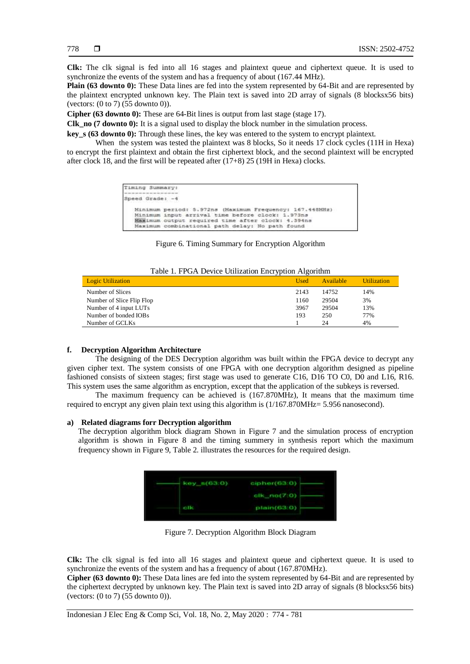**Clk:** The clk signal is fed into all 16 stages and plaintext queue and ciphertext queue. It is used to synchronize the events of the system and has a frequency of about (167.44 MHz).

**Plain (63 downto 0):** These Data lines are fed into the system represented by 64-Bit and are represented by the plaintext encrypted unknown key. The Plain text is saved into 2D array of signals (8 blocksx56 bits) (vectors: (0 to 7) (55 downto 0)).

**Cipher (63 downto 0):** These are 64-Bit lines is output from last stage (stage 17).

**Clk\_no (7 downto 0):** It is a signal used to display the block number in the simulation process.

**key\_s (63 downto 0):** Through these lines, the key was entered to the system to encrypt plaintext.

When the system was tested the plaintext was 8 blocks, So it needs 17 clock cycles (11H in Hexa) to encrypt the first plaintext and obtain the first ciphertext block, and the second plaintext will be encrypted after clock 18, and the first will be repeated after (17+8) 25 (19H in Hexa) clocks.

```
Timing Summary:
Speed Grade: -4
   Minimum period: 5.972ns (Maximum Frequency: 167.448MHz)<br>Minimum input arrival time before clock: 1.973ns
   Maximum output required time after clock: 4.394ns
   Maximum combinational path delay: No path found
```
#### Figure 6. Timing Summary for Encryption Algorithm

|  |  | Table 1. FPGA Device Utilization Encryption Algorithm |  |
|--|--|-------------------------------------------------------|--|
|  |  |                                                       |  |

| <b>Logic Utilization</b>  | <b>Used</b> | Available | <b>Utilization</b> |
|---------------------------|-------------|-----------|--------------------|
| Number of Slices          | 2143        | 14752     | 14%                |
| Number of Slice Flip Flop | 1160        | 29504     | 3%                 |
| Number of 4 input LUTs    | 3967        | 29504     | 13%                |
| Number of bonded IOBs     | 193         | 250       | 77%                |
| Number of GCLKs           |             | 24        | 4%                 |

# **f. Decryption Algorithm Architecture**

The designing of the DES Decryption algorithm was built within the FPGA device to decrypt any given cipher text. The system consists of one FPGA with one decryption algorithm designed as pipeline fashioned consists of sixteen stages; first stage was used to generate C16, D16 TO C0, D0 and L16, R16. This system uses the same algorithm as encryption, except that the application of the subkeys is reversed.

The maximum frequency can be achieved is (167.870MHz), It means that the maximum time required to encrypt any given plain text using this algorithm is (1/167.870MHz= 5.956 nanosecond).

#### **a) Related diagrams forr Decryption algorithm**

The decryption algorithm block diagram Shown in Figure 7 and the simulation process of encryption algorithm is shown in Figure 8 and the timing summery in synthesis report which the maximum frequency shown in Figure 9, Table 2. illustrates the resources for the required design.

| $key_n(63,0)$ | cipher(63:0) |
|---------------|--------------|
|               | clk_no(7:0)  |
| olk           | plain(63.0)  |

Figure 7. Decryption Algorithm Block Diagram

**Clk:** The clk signal is fed into all 16 stages and plaintext queue and ciphertext queue. It is used to synchronize the events of the system and has a frequency of about (167.870MHz).

**Cipher (63 downto 0):** These Data lines are fed into the system represented by 64-Bit and are represented by the ciphertext decrypted by unknown key. The Plain text is saved into 2D array of signals (8 blocksx56 bits) (vectors: (0 to 7) (55 downto 0)).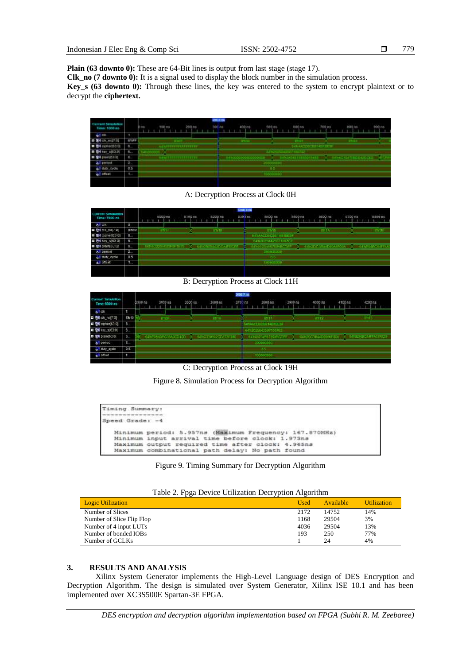**Plain (63 downto 0):** These are 64-Bit lines is output from last stage (stage 17).

**Clk\_no (7 downto 0):** It is a signal used to display the block number in the simulation process.

**Key\_s (63 downto 0):** Through these lines, the key was entered to the system to encrypt plaintext or to decrypt the **ciphertext.**



A: Decryption Process at Clock 0H

|                                           |             |                      |          |             |  |           |                 |              |  | 5306.0 ms |                      |            |  |         |                      |             |  |         |              |         |  |
|-------------------------------------------|-------------|----------------------|----------|-------------|--|-----------|-----------------|--------------|--|-----------|----------------------|------------|--|---------|----------------------|-------------|--|---------|--------------|---------|--|
| <b>Current Smutation</b><br>Time: 7000 ns |             |                      | 5800 ns. |             |  | $5100$ ns |                 | 5200 ms      |  | 5303 ns   |                      | 5400 ms    |  | 5500 ns |                      | 5600 ns     |  | 5700 ns |              | 5800 ns |  |
| all dit                                   | $\sigma$    |                      |          |             |  |           |                 |              |  |           |                      |            |  |         |                      |             |  |         |              |         |  |
| <b>四 登4 dik no(7:0)</b>                   | Sht9        |                      |          | <b>BOYS</b> |  |           |                 | <b>ETITE</b> |  |           |                      | <b>TYP</b> |  |         |                      | <b>ERIA</b> |  |         |              | ante-   |  |
| <b>■ 图4 (3phar(63.0)</b>                  | ъ.          |                      |          |             |  |           |                 |              |  |           | 6434400802814        |            |  |         |                      |             |  |         |              |         |  |
| <b>B Dev</b> 9/63.01                      | u.          |                      |          |             |  |           |                 |              |  |           | 647/2025042567100702 |            |  |         |                      |             |  |         |              |         |  |
| <b>D @4</b> plain(63.0)                   | $6 -$       | 141/502253623F3F3F79 |          |             |  |           | 1410808442DCAME |              |  |           | E4Y0123456789ABCOEF  |            |  |         | X 441000544090ASF00A |             |  |         | <b>SANGE</b> |         |  |
| o <sup>3</sup> period                     | <b>TEL.</b> |                      |          |             |  |           |                 |              |  |           | 300000000            |            |  |         |                      |             |  |         |              |         |  |
| all duty_cycle                            | 0.5         |                      |          |             |  |           |                 |              |  |           |                      | D.S.       |  |         |                      |             |  |         |              |         |  |
| $o$ anset                                 | 1.          |                      |          |             |  |           |                 |              |  |           | 3000                 |            |  |         |                      |             |  |         |              |         |  |
|                                           |             |                      |          |             |  |           |                 |              |  |           |                      |            |  |         |                      |             |  |         |              |         |  |
|                                           |             |                      |          |             |  |           |                 |              |  |           |                      |            |  |         |                      |             |  |         |              |         |  |

B: Decryption Process at Clock 11H

|                                                  |      |                                             |         |  |         |  |          |  |        | 366.7 m |           |           |                     |         |  |        |         |         |  |         |                                        |
|--------------------------------------------------|------|---------------------------------------------|---------|--|---------|--|----------|--|--------|---------|-----------|-----------|---------------------|---------|--|--------|---------|---------|--|---------|----------------------------------------|
| <b>Current Smulation</b><br><b>Eme: 6000 as:</b> |      | 5300 ns                                     | 3430 ns |  | 3500 ns |  | 3600 mil |  | 3701ns |         |           | 3800 mil. |                     | 3900 ns |  |        | 4000 ms | 4100 ms |  | 4200 ns |                                        |
| o <sup>11</sup> Cit.                             |      |                                             |         |  |         |  |          |  |        |         |           |           |                     |         |  |        |         |         |  |         |                                        |
| <b>日 图 cik no(7)</b>                             | 8h10 |                                             | -ittio  |  |         |  |          |  |        |         |           | $-3715$   |                     |         |  | 103.72 |         |         |  |         |                                        |
| ■ 중에 ciphed63:05                                 | ъ.   |                                             |         |  |         |  |          |  |        |         |           |           | 64h4AD90851481BE9   |         |  |        |         |         |  |         |                                        |
| <b>B B4</b> H 553 0                              | ъ.   |                                             |         |  |         |  |          |  |        |         |           |           | 6410025042507120702 |         |  |        |         |         |  |         |                                        |
| <b>四 图4 plain(63:0)</b>                          | 6.   | 0410E0540E039400040D 0 147103305020DA75F380 |         |  |         |  |          |  |        |         |           |           | 6410123456789ABCOEF |         |  |        |         |         |  |         | 4492003B44D00AF00A V MTER4BD54FFA67F62 |
| a. Denod                                         | æ.   |                                             |         |  |         |  |          |  |        |         | 200100000 |           |                     |         |  |        |         |         |  |         |                                        |
| all duty_cycle                                   | 0.5  |                                             |         |  |         |  |          |  |        |         |           |           |                     |         |  |        |         |         |  |         |                                        |
| $o$ . $0.50$                                     | v.   |                                             |         |  |         |  |          |  |        |         |           |           |                     |         |  |        |         |         |  |         |                                        |

C: Decryption Process at Clock 19H

Figure 8. Simulation Process for Decryption Algorithm

| Timing Summary: |                                                                                                       |
|-----------------|-------------------------------------------------------------------------------------------------------|
| Speed Grade: -4 |                                                                                                       |
|                 | Minimum period: 5.957ns (Maximum Frequency: 167.870MHz)                                               |
|                 | Minimum input arrival time before clock: 1.973ns<br>Maximum output required time after clock: 4.965ns |
|                 | Maximum combinational path delay: No path found                                                       |

Figure 9. Timing Summary for Decryption Algorithm

| Table 2. I pga Device Utilization Deery puoli Argoriumi<br><b>Logic Utilization</b> | Used | Available | <b>Utilization</b> |
|-------------------------------------------------------------------------------------|------|-----------|--------------------|
| Number of Slices                                                                    | 2172 | 14752     | 14%                |
| Number of Slice Flip Flop                                                           | 1168 | 29504     | 3%                 |
| Number of 4 input LUTs                                                              | 4036 | 29504     | 13%                |
| Number of bonded IOBs                                                               | 193  | 250       | 77%                |
| Number of GCLKs                                                                     |      | 24        | 4%                 |

# Table 2. Fnga Device Utilization Decryption Algorithm

# **3. RESULTS AND ANALYSIS**

Xilinx System Generator implements the High-Level Language design of DES Encryption and Decryption Algorithm. The design is simulated over System Generator, Xilinx ISE 10.1 and has been implemented over XC3S500E Spartan-3E FPGA.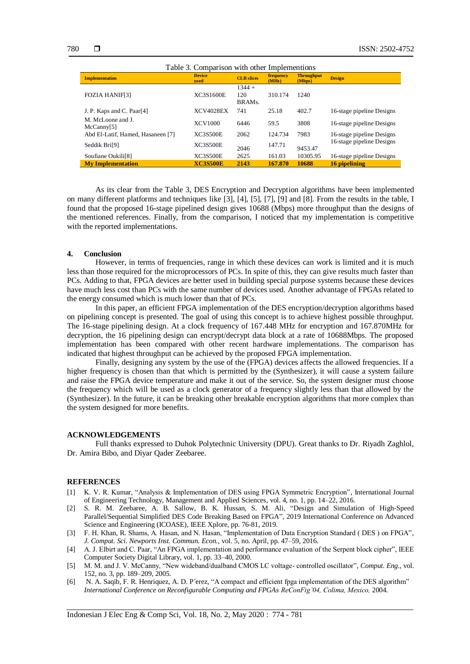| Table 3. Comparison with other Implementions |                       |                           |                    |                             |                           |
|----------------------------------------------|-----------------------|---------------------------|--------------------|-----------------------------|---------------------------|
| <b>Implementation</b>                        | <b>Device</b><br>used | <b>CLB</b> slices         | frequency<br>(MHz) | <b>Throughput</b><br>(Mbps) | <b>Design</b>             |
| <b>FOZIA HANIF[3]</b>                        | XC3S1600E             | $1344 +$<br>120<br>BRAMs. | 310.174            | 1240                        |                           |
| J. P. Kaps and C. Paar <sup>[4]</sup>        | <b>XCV4028EX</b>      | 741                       | 25.18              | 402.7                       | 16-stage pipeline Designs |
| M. McLoone and J.<br>McCanny[5]              | XCV1000               | 6446                      | 59.5               | 3808                        | 16-stage pipeline Designs |
| Abd El-Latif, Hamed, Hasaneen [7]            | <b>XC3S500E</b>       | 2062                      | 124.734            | 7983                        | 16-stage pipeline Designs |
| Seddik Bri <sup>[9]</sup>                    | <b>XC3S500E</b>       | 2046                      | 147.71             | 9453.47                     | 16-stage pipeline Designs |
| Soufiane Oukili <sup>[8]</sup>               | <b>XC3S500E</b>       | 2625                      | 161.03             | 10305.95                    | 16-stage pipeline Designs |
| <b>My Implementation</b>                     | <b>XC3S500E</b>       | 2143                      | 167.870            | 10688                       | 16 pipelining             |

As its clear from the Table 3, DES Encryption and Decryption algorithms have been implemented on many different platforms and techniques like [3], [4], [5], [7], [9] and [8]. From the results in the table, I found that the proposed 16-stage pipelined design gives 10688 (Mbps) more throughput than the designs of the mentioned references. Finally, from the comparison, I noticed that my implementation is competitive with the reported implementations.

#### **4. Conclusion**

However, in terms of frequencies, range in which these devices can work is limited and it is much less than those required for the microprocessors of PCs. In spite of this, they can give results much faster than PCs. Adding to that, FPGA devices are better used in building special purpose systems because these devices have much less cost than PCs with the same number of devices used. Another advantage of FPGAs related to the energy consumed which is much lower than that of PCs.

In this paper, an efficient FPGA implementation of the DES encryption/decryption algorithms based on pipelining concept is presented. The goal of using this concept is to achieve highest possible throughput. The 16-stage pipelining design. At a clock frequency of 167.448 MHz for encryption and 167.870MHz for decryption, the 16 pipelining design can encrypt/decrypt data block at a rate of 10688Mbps. The proposed implementation has been compared with other recent hardware implementations. The comparison has indicated that highest throughput can be achieved by the proposed FPGA implementation.

Finally, designing any system by the use of the (FPGA) devices affects the allowed frequencies. If a higher frequency is chosen than that which is permitted by the (Synthesizer), it will cause a system failure and raise the FPGA device temperature and make it out of the service. So, the system designer must choose the frequency which will be used as a clock generator of a frequency slightly less than that allowed by the (Synthesizer). In the future, it can be breaking other breakable encryption algorithms that more complex than the system designed for more benefits.

# **ACKNOWLEDGEMENTS**

Full thanks expressed to Duhok Polytechnic University (DPU). Great thanks to Dr. Riyadh Zaghlol, Dr. Amira Bibo, and Diyar Qader Zeebaree.

### **REFERENCES**

- [1] K. V. R. Kumar, "Analysis & Implementation of DES using FPGA Symmetric Encryption", International Journal of Engineering Technology, Management and Applied Sciences, vol. 4, no. 1, pp. 14–22, 2016.
- [2] S. R. M. Zeebaree, A. B. Sallow, B. K. Hussan, S. M. Ali, "Design and Simulation of High-Speed Parallel/Sequential Simplified DES Code Breaking Based on FPGA", 2019 International Conference on Advanced Science and Engineering (ICOASE), IEEE Xplore, pp. 76-81, 2019.
- [3] F. H. Khan, R. Shams, A. Hasan, and N. Hasan, "Implementation of Data Encryption Standard ( DES ) on FPGA", *J. Comput. Sci. Newports Inst. Commun. Econ.*, vol. 5, no. April, pp. 47–59, 2016.
- [4] A. J. Elbirt and C. Paar, "An FPGA implementation and performance evaluation of the Serpent block cipher", IEEE Computer Society Digital Library, vol. 1, pp. 33–40, 2000.
- [5] M. M. and J. V. McCanny, "New wideband/dualband CMOS LC voltage- controlled oscillator", *Comput. Eng.*, vol. 152, no. 3, pp. 189–209, 2005.
- [6] N. A. Saqib, F. R. Henriquez, A. D. P´erez, "A compact and efficient fpga implementation of the DES algorithm" *International Conference on Reconfigurable Computing and FPGAs ReConFig'04, Colima, Mexico,* 2004.